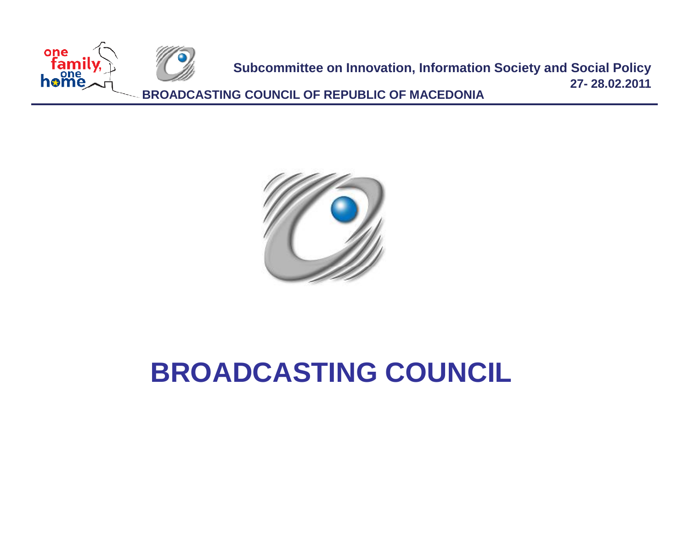



## **BROADCASTING COUNCIL**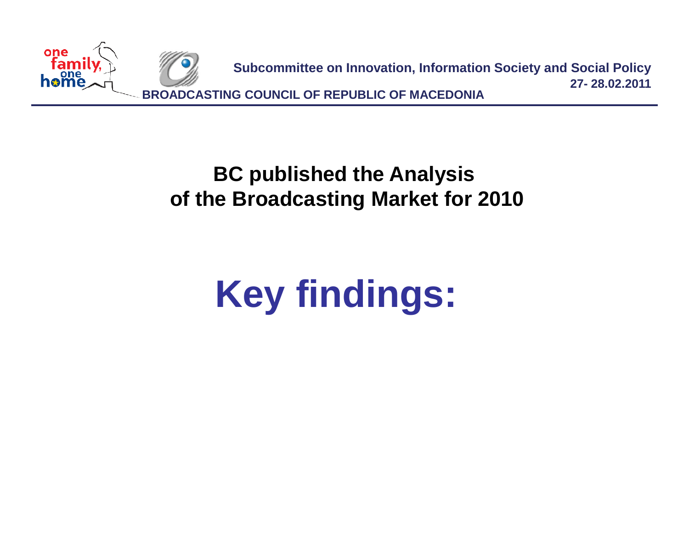

**BC published the Analysis of the Broadcasting Market for 2010**

# **Key findings:**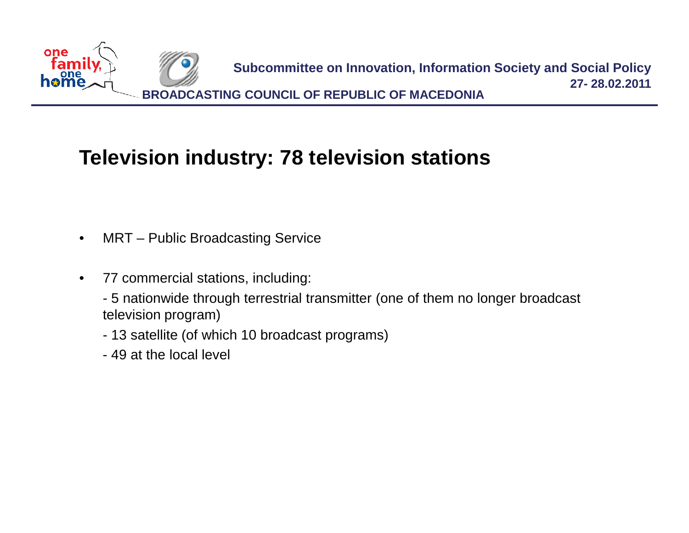

### **Television industry: 78 television stations**

- MRT Public Broadcasting Service
- 77 commercial stations, including:
	- 5 nationwide through terrestrial transmitter (one of them no longer broadcast television program)
	- 13 satellite (of which 10 broadcast programs)
	- 49 at the local level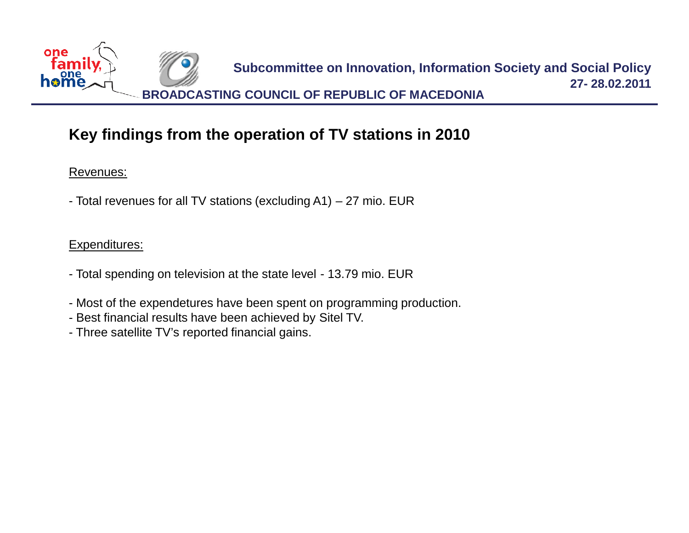

#### **Key findings from the operation of TV stations in 2010**

Revenues:

- Total revenues for all TV stations (excluding A1) – 27 mio. EUR

#### Expenditures:

- Total spending on television at the state level 13.79 mio. EUR
- Most of the expendetures have been spent on programming production.
- Best financial results have been achieved by Sitel TV.
- Three satellite TV's reported financial gains.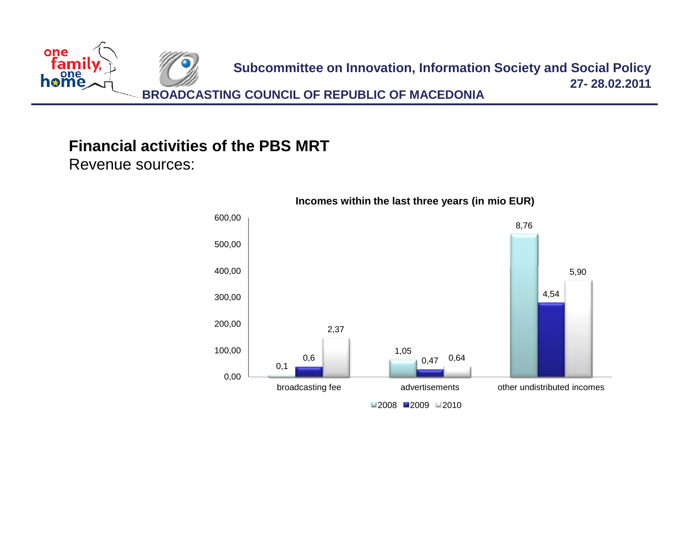

### **Financial activities of the PBS MRT**

Revenue sources:



#### **Incomes within the last three years (in mio EUR)**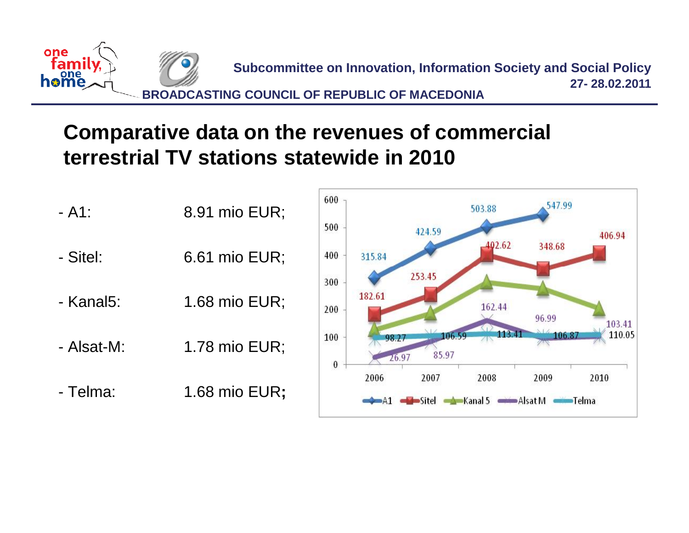

### **Comparative data on the revenues of commercial terrestrial TV stations statewide in 2010**

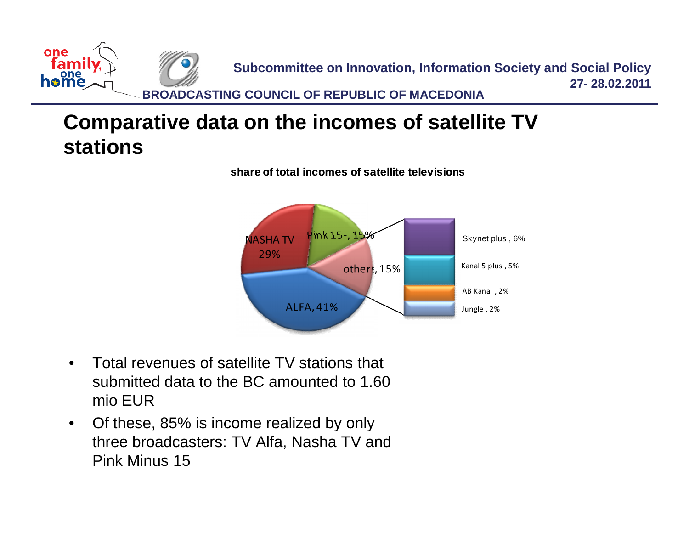

### **Comparative data on the incomes of satellite TV stations**



**share of total incomes of satellite televisions**

- Total revenues of satellite TV stations that submitted data to the BC amounted to 1.60 mio EUR
- Of these, 85% is income realized by only three broadcasters: TV Alfa, Nasha TV and Pink Minus 15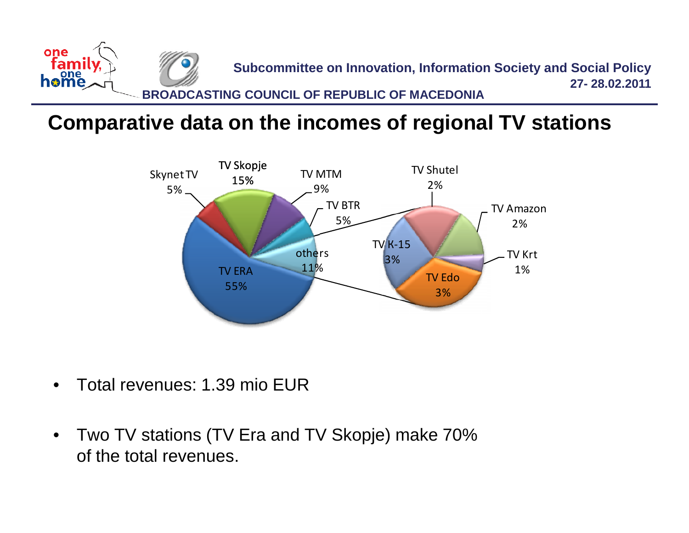

### **Comparative data on the incomes of regional TV stations**



- Total revenues: 1.39 mio EUR
- Two TV stations (TV Era and TV Skopje) make 70% of the total revenues.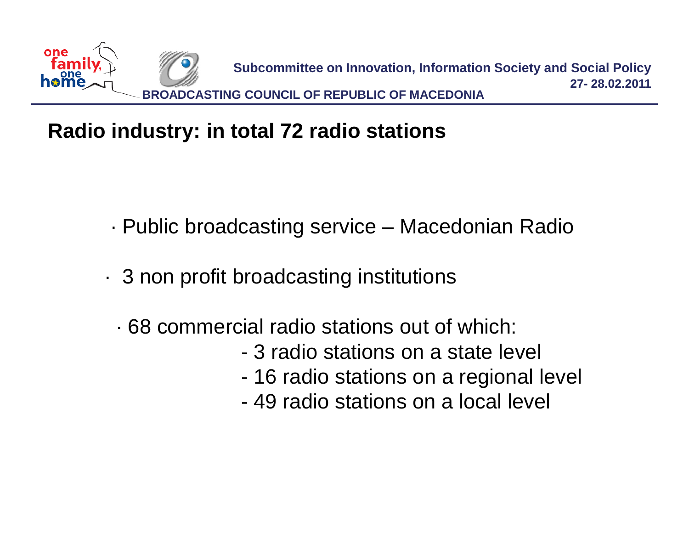

### **Radio industry: in total 72 radio stations**

- ∙ Public broadcasting service Macedonian Radio
- ∙ 3 non profit broadcasting institutions
	- ∙ 68 commercial radio stations out of which:
		- 3 radio stations on a state level
		- 16 radio stations on a regional level
		- 49 radio stations on a local level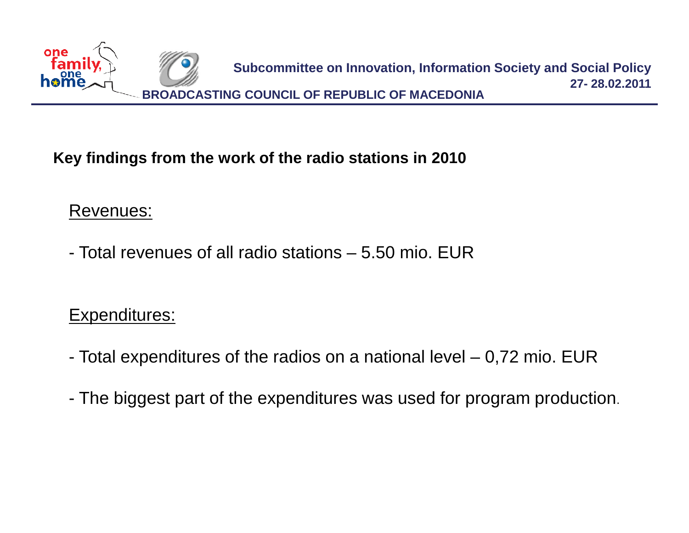

#### **Key findings from the work of the radio stations in 2010**

#### Revenues:

- Total revenues of all radio stations – 5.50 mio. EUR

#### Expenditures:

- Total expenditures of the radios on a national level 0,72 mio. EUR
- The biggest part of the expenditures was used for program production.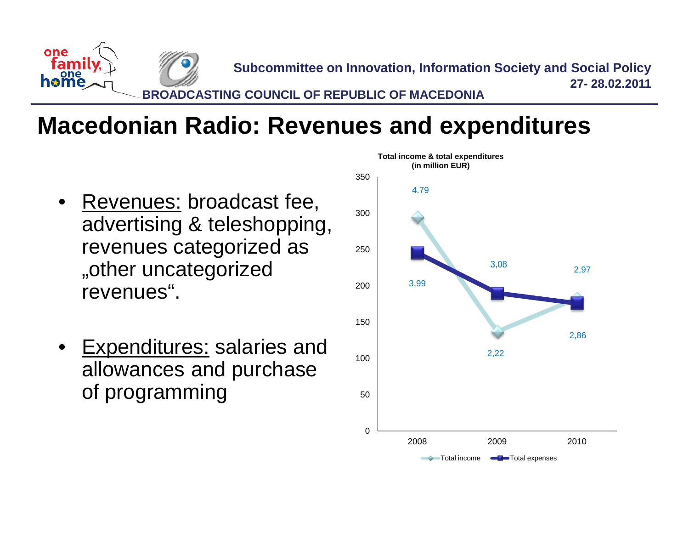

### **Macedonian Radio: Revenues and expenditures**

- Revenues: broadcast fee, advertising & teleshopping, revenues categorized as revenues categorized as"other uncategorized revenues".
- Expenditures: salaries and allowances and purchase of programming

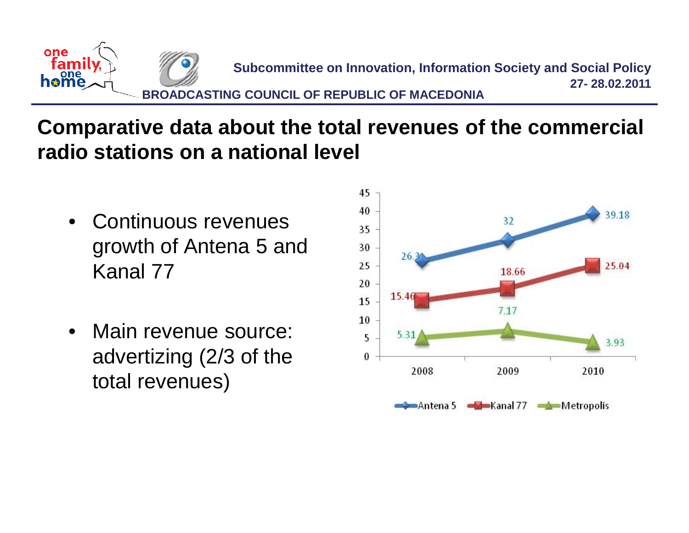

### **Comparative data about the total revenues of the commercial radio stations on a national level**

- Continuous revenues growth of Antena 5 and Kanal 77
- Main revenue source: advertizing (2/3 of the total revenues)

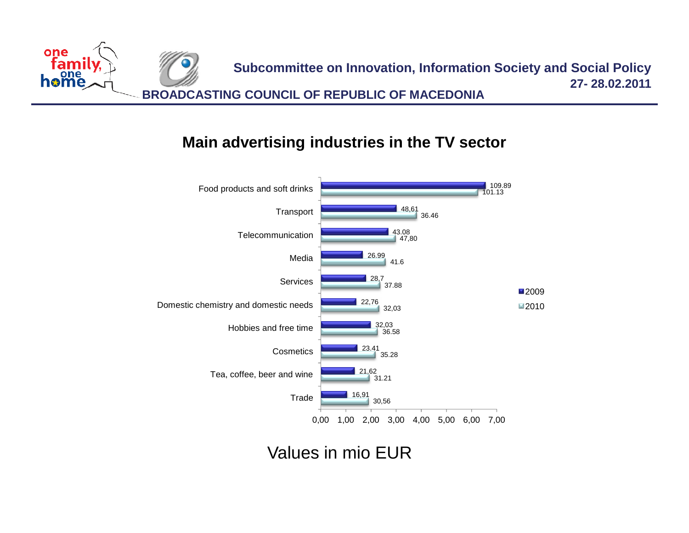

#### **Main advertising industries in the TV sector**



Values in mio EUR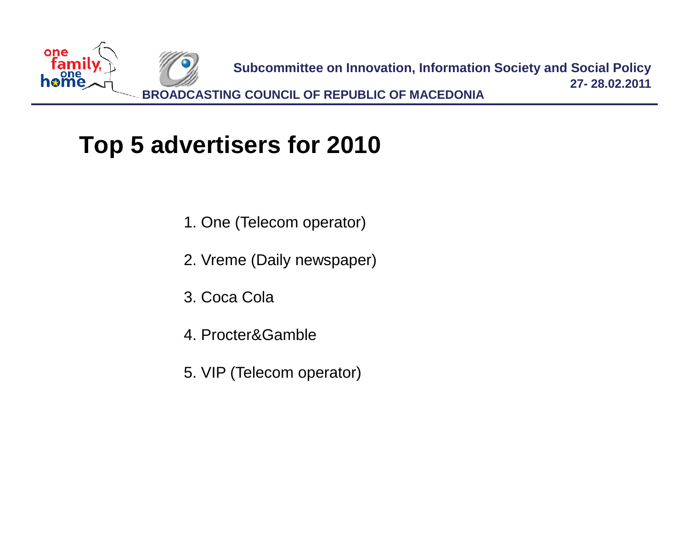

### **Top 5 advertisers for 2010**

- 1. One (Telecom operator)
- 2. Vreme (Daily newspaper)
- 3. Coca Cola
- 4. Procter&Gamble
- 5. VIP (Telecom operator)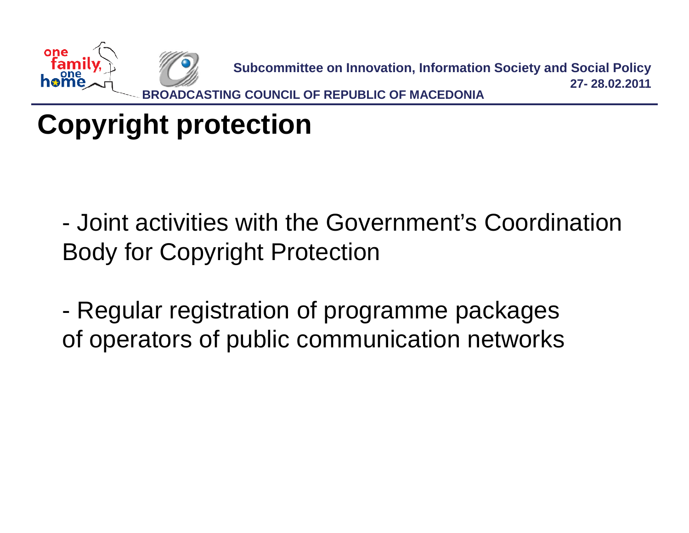

# **Copyright protection**

- Joint activities with the Government's Coordination Body for Copyright Protection

- Regular registration of programme packages of operators of public communication networks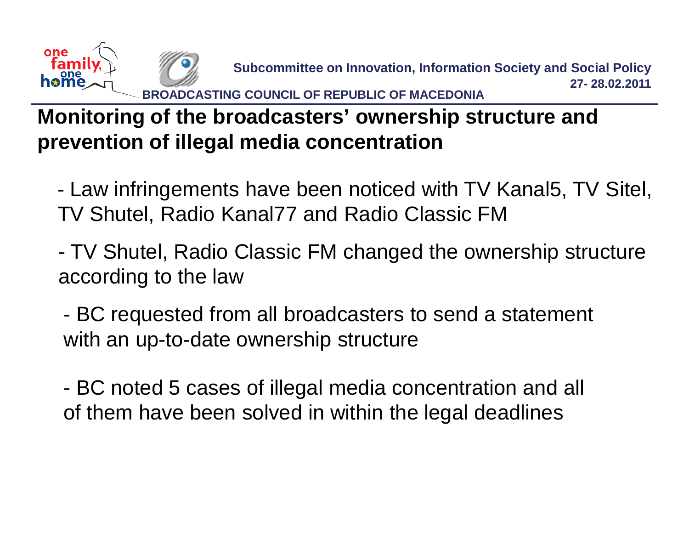

### **Monitoring of the broadcasters' ownership structure and prevention of illegal media concentration**

- Law infringements have been noticed with TV Kanal5, TV Sitel, TV Shutel, Radio Kanal77 and Radio Classic FM

- TV Shutel, Radio Classic FM changed the ownership structure according to the law

- BC requested from all broadcasters to send a statement with an up-to-date ownership structure

- BC noted 5 cases of illegal media concentration and all of them have been solved in within the legal deadlines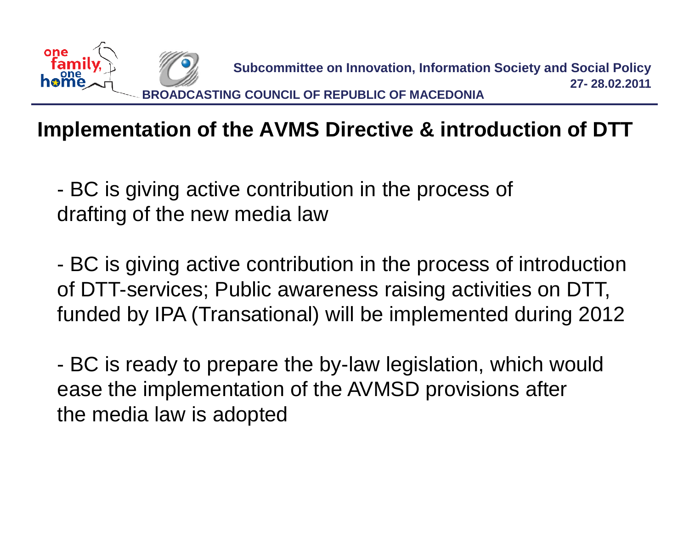

### **Implementation of the AVMS Directive & introduction of DTT**

- BC is giving active contribution in the process of drafting of the new media law

- BC is giving active contribution in the process of introduction of DTT-services; Public awareness raising activities on DTT, funded by IPA (Transational) will be implemented during 2012

- BC is ready to prepare the by-law legislation, which would ease the implementation of the AVMSD provisions after the media law is adopted